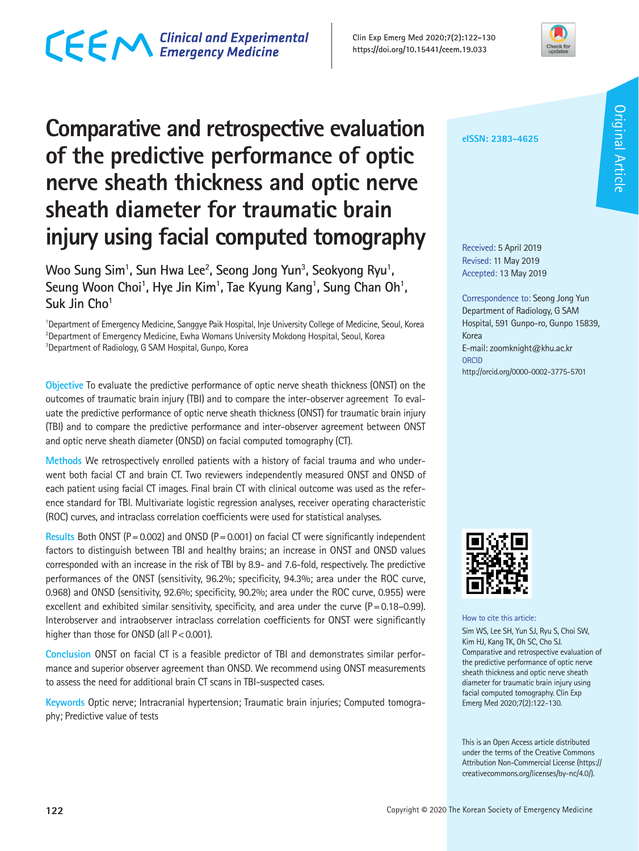# CECM Clinical and Experimental

**Clin Exp Emerg Med 2020;7(2):122-130 https://doi.org/10.15441/ceem.19.033**



# **Comparative and retrospective evaluation of the predictive performance of optic nerve sheath thickness and optic nerve sheath diameter for traumatic brain injury using facial computed tomography**

Woo Sung Sim<sup>1</sup>, Sun Hwa Lee<sup>2</sup>, Seong Jong Yun<sup>3</sup>, Seokyong Ryu<sup>1</sup>, Seung Woon Choi<sup>1</sup>, Hye Jin Kim<sup>1</sup>, Tae Kyung Kang<sup>1</sup>, Sung Chan Oh<sup>1</sup>, **Suk Jin Cho1**

1 Department of Emergency Medicine, Sanggye Paik Hospital, Inje University College of Medicine, Seoul, Korea 2 Department of Emergency Medicine, Ewha Womans University Mokdong Hospital, Seoul, Korea 3 Department of Radiology, G SAM Hospital, Gunpo, Korea

**Objective** To evaluate the predictive performance of optic nerve sheath thickness (ONST) on the outcomes of traumatic brain injury (TBI) and to compare the inter-observer agreement To evaluate the predictive performance of optic nerve sheath thickness (ONST) for traumatic brain injury (TBI) and to compare the predictive performance and inter-observer agreement between ONST and optic nerve sheath diameter (ONSD) on facial computed tomography (CT).

**Methods** We retrospectively enrolled patients with a history of facial trauma and who underwent both facial CT and brain CT. Two reviewers independently measured ONST and ONSD of each patient using facial CT images. Final brain CT with clinical outcome was used as the reference standard for TBI. Multivariate logistic regression analyses, receiver operating characteristic (ROC) curves, and intraclass correlation coefficients were used for statistical analyses.

**Results** Both ONST (P=0.002) and ONSD (P=0.001) on facial CT were significantly independent factors to distinguish between TBI and healthy brains; an increase in ONST and ONSD values corresponded with an increase in the risk of TBI by 8.9- and 7.6-fold, respectively. The predictive performances of the ONST (sensitivity, 96.2%; specificity, 94.3%; area under the ROC curve, 0.968) and ONSD (sensitivity, 92.6%; specificity, 90.2%; area under the ROC curve, 0.955) were excellent and exhibited similar sensitivity, specificity, and area under the curve  $(P=0.18-0.99)$ . Interobserver and intraobserver intraclass correlation coefficients for ONST were significantly higher than those for ONSD (all  $P < 0.001$ ).

**Conclusion** ONST on facial CT is a feasible predictor of TBI and demonstrates similar performance and superior observer agreement than ONSD. We recommend using ONST measurements to assess the need for additional brain CT scans in TBI-suspected cases.

**Keywords** Optic nerve; Intracranial hypertension; Traumatic brain injuries; Computed tomography; Predictive value of tests

**eISSN: 2383-4625**

Received: 5 April 2019 Revised: 11 May 2019 Accepted: 13 May 2019

Correspondence to: Seong Jong Yun Department of Radiology, G SAM Hospital, 591 Gunpo-ro, Gunpo 15839, Korea E-mail: zoomknight@khu.ac.kr **ORCID** http://orcid.org/0000-0002-3775-5701



How to cite this article:

Sim WS, Lee SH, Yun SJ, Ryu S, Choi SW, Kim HJ, Kang TK, Oh SC, Cho SJ. Comparative and retrospective evaluation of the predictive performance of optic nerve sheath thickness and optic nerve sheath diameter for traumatic brain injury using facial computed tomography. Clin Exp Emerg Med 2020;7(2):122-130.

This is an Open Access article distributed under the terms of the Creative Commons Attribution Non-Commercial License (https:// creativecommons.org/licenses/by-nc/4.0/).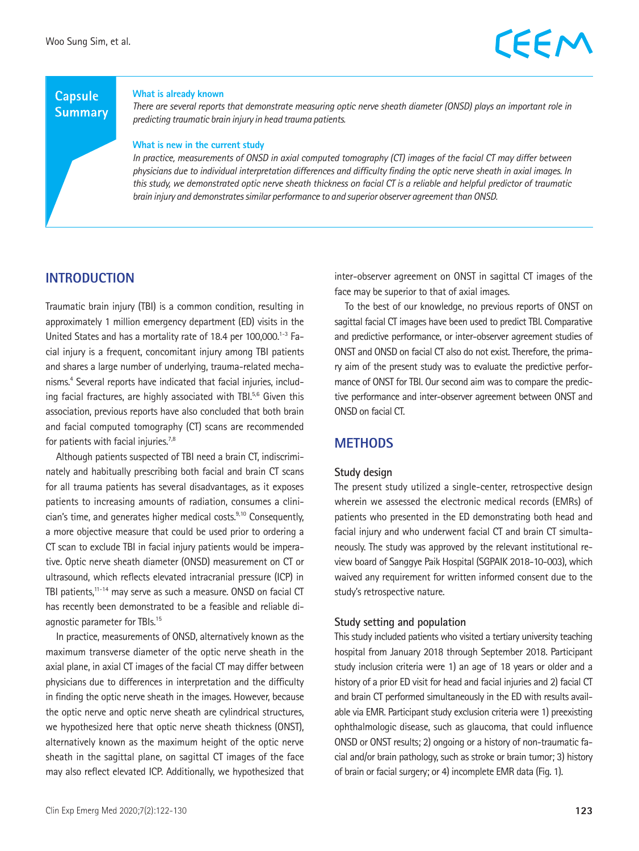### **Capsule Summary**

#### **What is already known**

*There are several reports that demonstrate measuring optic nerve sheath diameter (ONSD) plays an important role in predicting traumatic brain injury in head trauma patients.*

#### **What is new in the current study**

*In practice, measurements of ONSD in axial computed tomography (CT) images of the facial CT may differ between physicians due to individual interpretation differences and difficulty finding the optic nerve sheath in axial images. In this study, we demonstrated optic nerve sheath thickness on facial CT is a reliable and helpful predictor of traumatic brain injury and demonstrates similar performance to and superior observer agreement than ONSD.* 

### **INTRODUCTION**

Traumatic brain injury (TBI) is a common condition, resulting in approximately 1 million emergency department (ED) visits in the United States and has a mortality rate of 18.4 per 100,000.<sup>1-3</sup> Facial injury is a frequent, concomitant injury among TBI patients and shares a large number of underlying, trauma-related mechanisms.4 Several reports have indicated that facial injuries, including facial fractures, are highly associated with TBI.<sup>5,6</sup> Given this association, previous reports have also concluded that both brain and facial computed tomography (CT) scans are recommended for patients with facial injuries. $7.8$ 

Although patients suspected of TBI need a brain CT, indiscriminately and habitually prescribing both facial and brain CT scans for all trauma patients has several disadvantages, as it exposes patients to increasing amounts of radiation, consumes a clinician's time, and generates higher medical costs.9,10 Consequently, a more objective measure that could be used prior to ordering a CT scan to exclude TBI in facial injury patients would be imperative. Optic nerve sheath diameter (ONSD) measurement on CT or ultrasound, which reflects elevated intracranial pressure (ICP) in TBI patients,<sup>11-14</sup> may serve as such a measure. ONSD on facial CT has recently been demonstrated to be a feasible and reliable diagnostic parameter for TBIs.<sup>15</sup>

In practice, measurements of ONSD, alternatively known as the maximum transverse diameter of the optic nerve sheath in the axial plane, in axial CT images of the facial CT may differ between physicians due to differences in interpretation and the difficulty in finding the optic nerve sheath in the images. However, because the optic nerve and optic nerve sheath are cylindrical structures, we hypothesized here that optic nerve sheath thickness (ONST), alternatively known as the maximum height of the optic nerve sheath in the sagittal plane, on sagittal CT images of the face may also reflect elevated ICP. Additionally, we hypothesized that inter-observer agreement on ONST in sagittal CT images of the face may be superior to that of axial images.

To the best of our knowledge, no previous reports of ONST on sagittal facial CT images have been used to predict TBI. Comparative and predictive performance, or inter-observer agreement studies of ONST and ONSD on facial CT also do not exist. Therefore, the primary aim of the present study was to evaluate the predictive performance of ONST for TBI. Our second aim was to compare the predictive performance and inter-observer agreement between ONST and ONSD on facial CT.

### **METHODS**

#### **Study design**

The present study utilized a single-center, retrospective design wherein we assessed the electronic medical records (EMRs) of patients who presented in the ED demonstrating both head and facial injury and who underwent facial CT and brain CT simultaneously. The study was approved by the relevant institutional review board of Sanggye Paik Hospital (SGPAIK 2018-10-003), which waived any requirement for written informed consent due to the study's retrospective nature.

#### **Study setting and population**

This study included patients who visited a tertiary university teaching hospital from January 2018 through September 2018. Participant study inclusion criteria were 1) an age of 18 years or older and a history of a prior ED visit for head and facial injuries and 2) facial CT and brain CT performed simultaneously in the ED with results available via EMR. Participant study exclusion criteria were 1) preexisting ophthalmologic disease, such as glaucoma, that could influence ONSD or ONST results; 2) ongoing or a history of non-traumatic facial and/or brain pathology, such as stroke or brain tumor; 3) history of brain or facial surgery; or 4) incomplete EMR data (Fig. 1).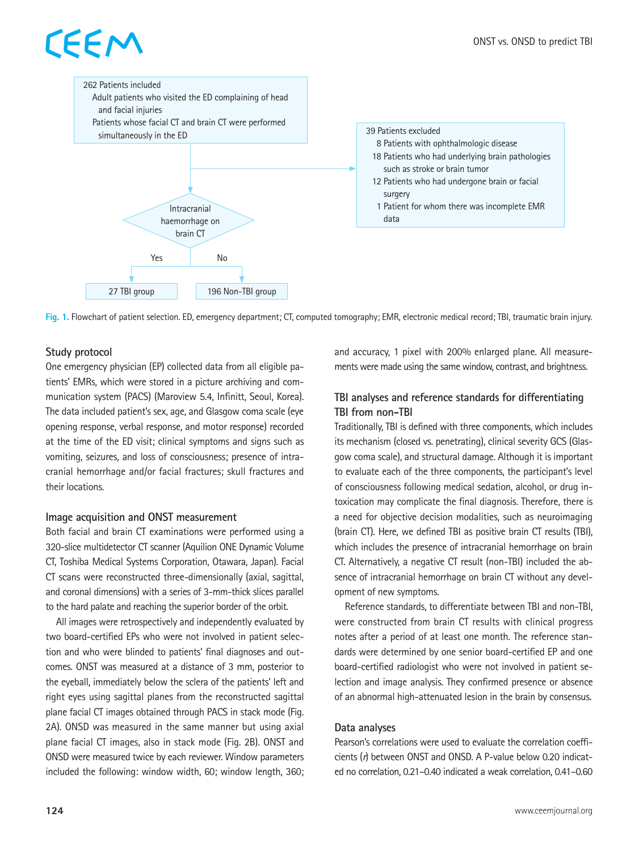# EEM



**Fig. 1.** Flowchart of patient selection. ED, emergency department; CT, computed tomography; EMR, electronic medical record; TBI, traumatic brain injury.

#### **Study protocol**

One emergency physician (EP) collected data from all eligible patients' EMRs, which were stored in a picture archiving and communication system (PACS) (Maroview 5.4, Infinitt, Seoul, Korea). The data included patient's sex, age, and Glasgow coma scale (eye opening response, verbal response, and motor response) recorded at the time of the ED visit; clinical symptoms and signs such as vomiting, seizures, and loss of consciousness; presence of intracranial hemorrhage and/or facial fractures; skull fractures and their locations.

#### **Image acquisition and ONST measurement**

Both facial and brain CT examinations were performed using a 320-slice multidetector CT scanner (Aquilion ONE Dynamic Volume CT, Toshiba Medical Systems Corporation, Otawara, Japan). Facial CT scans were reconstructed three-dimensionally (axial, sagittal, and coronal dimensions) with a series of 3-mm-thick slices parallel to the hard palate and reaching the superior border of the orbit.

All images were retrospectively and independently evaluated by two board-certified EPs who were not involved in patient selection and who were blinded to patients' final diagnoses and outcomes. ONST was measured at a distance of 3 mm, posterior to the eyeball, immediately below the sclera of the patients' left and right eyes using sagittal planes from the reconstructed sagittal plane facial CT images obtained through PACS in stack mode (Fig. 2A). ONSD was measured in the same manner but using axial plane facial CT images, also in stack mode (Fig. 2B). ONST and ONSD were measured twice by each reviewer. Window parameters included the following: window width, 60; window length, 360; and accuracy, 1 pixel with 200% enlarged plane. All measurements were made using the same window, contrast, and brightness.

### **TBI analyses and reference standards for differentiating TBI from non-TBI**

Traditionally, TBI is defined with three components, which includes its mechanism (closed vs. penetrating), clinical severity GCS (Glasgow coma scale), and structural damage. Although it is important to evaluate each of the three components, the participant's level of consciousness following medical sedation, alcohol, or drug intoxication may complicate the final diagnosis. Therefore, there is a need for objective decision modalities, such as neuroimaging (brain CT). Here, we defined TBI as positive brain CT results (TBI), which includes the presence of intracranial hemorrhage on brain CT. Alternatively, a negative CT result (non-TBI) included the absence of intracranial hemorrhage on brain CT without any development of new symptoms.

Reference standards, to differentiate between TBI and non-TBI, were constructed from brain CT results with clinical progress notes after a period of at least one month. The reference standards were determined by one senior board-certified EP and one board-certified radiologist who were not involved in patient selection and image analysis. They confirmed presence or absence of an abnormal high-attenuated lesion in the brain by consensus.

#### **Data analyses**

Pearson's correlations were used to evaluate the correlation coefficients (*r*) between ONST and ONSD. A P-value below 0.20 indicated no correlation, 0.21–0.40 indicated a weak correlation, 0.41–0.60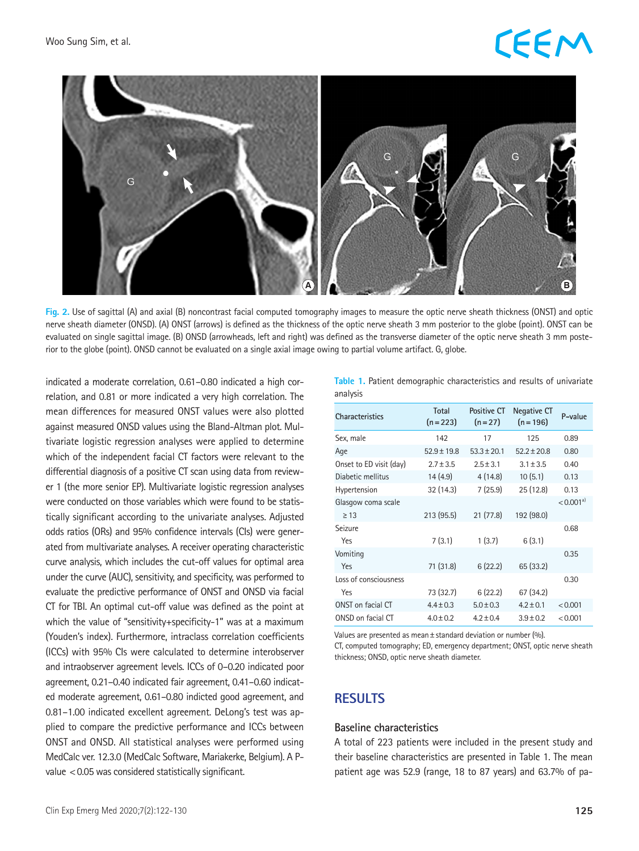

**Fig. 2.** Use of sagittal (A) and axial (B) noncontrast facial computed tomography images to measure the optic nerve sheath thickness (ONST) and optic nerve sheath diameter (ONSD). (A) ONST (arrows) is defined as the thickness of the optic nerve sheath 3 mm posterior to the globe (point). ONST can be evaluated on single sagittal image. (B) ONSD (arrowheads, left and right) was defined as the transverse diameter of the optic nerve sheath 3 mm posterior to the globe (point). ONSD cannot be evaluated on a single axial image owing to partial volume artifact. G, globe.

indicated a moderate correlation, 0.61–0.80 indicated a high correlation, and 0.81 or more indicated a very high correlation. The mean differences for measured ONST values were also plotted against measured ONSD values using the Bland-Altman plot. Multivariate logistic regression analyses were applied to determine which of the independent facial CT factors were relevant to the differential diagnosis of a positive CT scan using data from reviewer 1 (the more senior EP). Multivariate logistic regression analyses were conducted on those variables which were found to be statistically significant according to the univariate analyses. Adjusted odds ratios (ORs) and 95% confidence intervals (CIs) were generated from multivariate analyses. A receiver operating characteristic curve analysis, which includes the cut-off values for optimal area under the curve (AUC), sensitivity, and specificity, was performed to evaluate the predictive performance of ONST and ONSD via facial CT for TBI. An optimal cut-off value was defined as the point at which the value of "sensitivity+specificity-1" was at a maximum (Youden's index). Furthermore, intraclass correlation coefficients (ICCs) with 95% CIs were calculated to determine interobserver and intraobserver agreement levels. ICCs of 0–0.20 indicated poor agreement, 0.21–0.40 indicated fair agreement, 0.41–0.60 indicated moderate agreement, 0.61–0.80 indicted good agreement, and 0.81–1.00 indicated excellent agreement. DeLong's test was applied to compare the predictive performance and ICCs between ONST and ONSD. All statistical analyses were performed using MedCalc ver. 12.3.0 (MedCalc Software, Mariakerke, Belgium). A Pvalue <0.05 was considered statistically significant.

**Table 1.** Patient demographic characteristics and results of univariate analysis

| <b>Characteristics</b>          | Total<br>$(n=223)$ | Positive CT<br>$(n=27)$ | <b>Negative CT</b><br>$(n = 196)$ | P-value        |
|---------------------------------|--------------------|-------------------------|-----------------------------------|----------------|
| Sex, male                       | 142                | 17                      | 125                               | 0.89           |
| Age                             | $52.9 \pm 19.8$    | $53.3 \pm 20.1$         | $52.2 \pm 20.8$                   | 0.80           |
| Onset to ED visit (day)         | $2.7 \pm 3.5$      | $2.5 \pm 3.1$           | $3.1 \pm 3.5$                     | 0.40           |
| Diabetic mellitus               | 14(4.9)            | 4(14.8)                 | 10(5.1)                           | 0.13           |
| Hypertension                    | 32(14.3)           | 7(25.9)                 | 25(12.8)                          | 0.13           |
| Glasgow coma scale<br>$\geq 13$ | 213 (95.5)         | 21(77.8)                | 192 (98.0)                        | $< 0.001a^{1}$ |
| Seizure<br>Yes                  | 7(3.1)             | 1(3.7)                  | 6(3.1)                            | 0.68           |
| Vomiting<br>Yes                 | 71 (31.8)          | 6(22.2)                 | 65 (33.2)                         | 0.35           |
| Loss of consciousness<br>Yes    | 73 (32.7)          | 6(22.2)                 | 67 (34.2)                         | 0.30           |
| ONST on facial CT               | $4.4 \pm 0.3$      | $5.0 \pm 0.3$           | $4.2 \pm 0.1$                     | < 0.001        |
| ONSD on facial CT               | $4.0 \pm 0.2$      | $4.2 \pm 0.4$           | $3.9 \pm 0.2$                     | < 0.001        |

Values are presented as mean±standard deviation or number (%).

CT, computed tomography; ED, emergency department; ONST, optic nerve sheath thickness; ONSD, optic nerve sheath diameter.

### **RESULTS**

#### **Baseline characteristics**

A total of 223 patients were included in the present study and their baseline characteristics are presented in Table 1. The mean patient age was 52.9 (range, 18 to 87 years) and 63.7% of pa-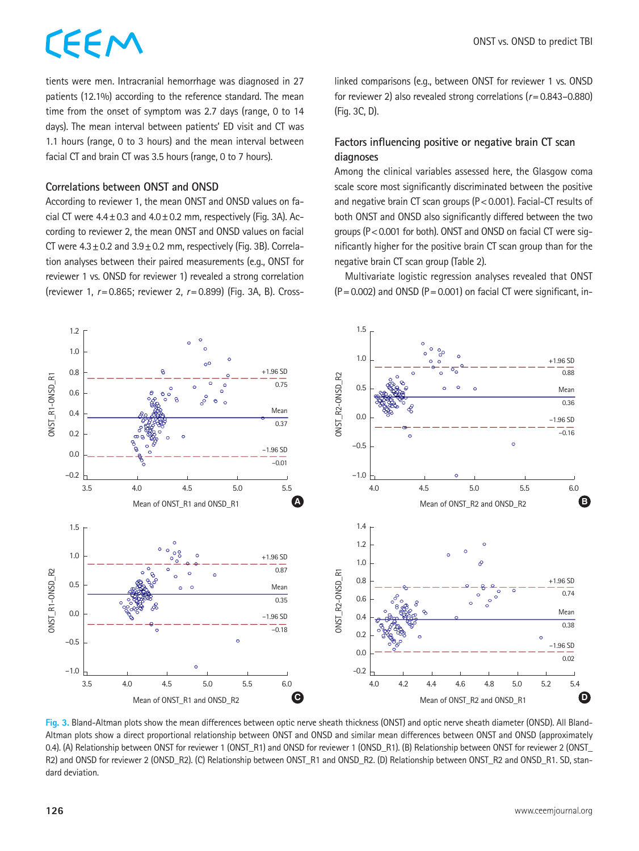tients were men. Intracranial hemorrhage was diagnosed in 27 patients (12.1%) according to the reference standard. The mean time from the onset of symptom was 2.7 days (range, 0 to 14 days). The mean interval between patients' ED visit and CT was 1.1 hours (range, 0 to 3 hours) and the mean interval between facial CT and brain CT was 3.5 hours (range, 0 to 7 hours).

#### **Correlations between ONST and ONSD**

According to reviewer 1, the mean ONST and ONSD values on facial CT were  $4.4 \pm 0.3$  and  $4.0 \pm 0.2$  mm, respectively (Fig. 3A). According to reviewer 2, the mean ONST and ONSD values on facial CT were  $4.3 \pm 0.2$  and  $3.9 \pm 0.2$  mm, respectively (Fig. 3B). Correlation analyses between their paired measurements (e.g., ONST for reviewer 1 vs. ONSD for reviewer 1) revealed a strong correlation (reviewer 1, *r*=0.865; reviewer 2, *r*=0.899) (Fig. 3A, B). Crosslinked comparisons (e.g., between ONST for reviewer 1 vs. ONSD for reviewer 2) also revealed strong correlations (*r*=0.843–0.880) (Fig. 3C, D).

#### **Factors influencing positive or negative brain CT scan diagnoses**

Among the clinical variables assessed here, the Glasgow coma scale score most significantly discriminated between the positive and negative brain CT scan groups (P<0.001). Facial-CT results of both ONST and ONSD also significantly differed between the two groups (P<0.001 for both). ONST and ONSD on facial CT were significantly higher for the positive brain CT scan group than for the negative brain CT scan group (Table 2).

Multivariate logistic regression analyses revealed that ONST  $(P=0.002)$  and ONSD  $(P=0.001)$  on facial CT were significant, in-



**Fig. 3.** Bland-Altman plots show the mean differences between optic nerve sheath thickness (ONST) and optic nerve sheath diameter (ONSD). All Bland-Altman plots show a direct proportional relationship between ONST and ONSD and similar mean differences between ONST and ONSD (approximately 0.4). (A) Relationship between ONST for reviewer 1 (ONST\_R1) and ONSD for reviewer 1 (ONSD\_R1). (B) Relationship between ONST for reviewer 2 (ONST\_ R2) and ONSD for reviewer 2 (ONSD\_R2). (C) Relationship between ONST\_R1 and ONSD\_R2. (D) Relationship between ONST\_R2 and ONSD\_R1. SD, standard deviation.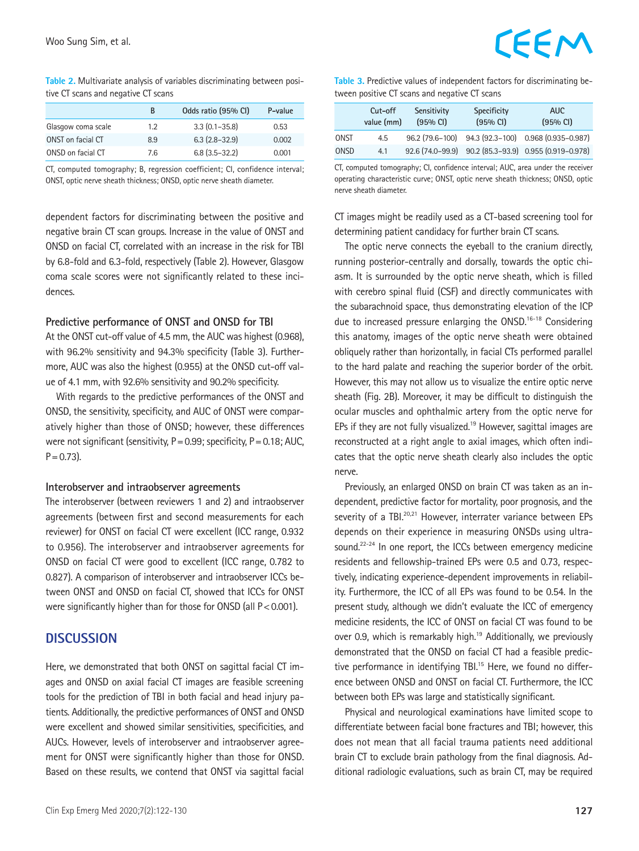**Table 2.** Multivariate analysis of variables discriminating between positive CT scans and negative CT scans

|                    | B   | Odds ratio (95% CI) | P-value |
|--------------------|-----|---------------------|---------|
| Glasgow coma scale | 1.2 | $3.3(0.1 - 35.8)$   | 0.53    |
| ONST on facial CT  | 89  | $6.3(2.8-32.9)$     | 0.002   |
| ONSD on facial CT  | 7.6 | $6.8(3.5-32.2)$     | 0.001   |

CT, computed tomography; B, regression coefficient; CI, confidence interval; ONST, optic nerve sheath thickness; ONSD, optic nerve sheath diameter.

dependent factors for discriminating between the positive and negative brain CT scan groups. Increase in the value of ONST and ONSD on facial CT, correlated with an increase in the risk for TBI by 6.8-fold and 6.3-fold, respectively (Table 2). However, Glasgow coma scale scores were not significantly related to these incidences.

#### **Predictive performance of ONST and ONSD for TBI**

At the ONST cut-off value of 4.5 mm, the AUC was highest (0.968), with 96.2% sensitivity and 94.3% specificity (Table 3). Furthermore, AUC was also the highest (0.955) at the ONSD cut-off value of 4.1 mm, with 92.6% sensitivity and 90.2% specificity.

With regards to the predictive performances of the ONST and ONSD, the sensitivity, specificity, and AUC of ONST were comparatively higher than those of ONSD; however, these differences were not significant (sensitivity,  $P = 0.99$ ; specificity,  $P = 0.18$ ; AUC,  $P = 0.73$ .

#### **Interobserver and intraobserver agreements**

The interobserver (between reviewers 1 and 2) and intraobserver agreements (between first and second measurements for each reviewer) for ONST on facial CT were excellent (ICC range, 0.932 to 0.956). The interobserver and intraobserver agreements for ONSD on facial CT were good to excellent (ICC range, 0.782 to 0.827). A comparison of interobserver and intraobserver ICCs between ONST and ONSD on facial CT, showed that ICCs for ONST were significantly higher than for those for ONSD (all  $P < 0.001$ ).

### **DISCUSSION**

Here, we demonstrated that both ONST on sagittal facial CT images and ONSD on axial facial CT images are feasible screening tools for the prediction of TBI in both facial and head injury patients. Additionally, the predictive performances of ONST and ONSD were excellent and showed similar sensitivities, specificities, and AUCs. However, levels of interobserver and intraobserver agreement for ONST were significantly higher than those for ONSD. Based on these results, we contend that ONST via sagittal facial

|      | Cut-off<br>value (mm) | Sensitivity<br>$(95% \text{ Cl})$ | Specificity<br>$(95% \text{ Cl})$ | AUC.<br>$(95% \text{ Cl})$                            |
|------|-----------------------|-----------------------------------|-----------------------------------|-------------------------------------------------------|
| ONST | 4.5                   |                                   |                                   | 96.2 (79.6-100) 94.3 (92.3-100) 0.968 (0.935-0.987)   |
| ONSD | 4.1                   |                                   |                                   | 92.6 (74.0-99.9) 90.2 (85.3-93.9) 0.955 (0.919-0.978) |

CT, computed tomography; CI, confidence interval; AUC, area under the receiver operating characteristic curve; ONST, optic nerve sheath thickness; ONSD, optic nerve sheath diameter.

CT images might be readily used as a CT-based screening tool for determining patient candidacy for further brain CT scans.

The optic nerve connects the eyeball to the cranium directly, running posterior-centrally and dorsally, towards the optic chiasm. It is surrounded by the optic nerve sheath, which is filled with cerebro spinal fluid (CSF) and directly communicates with the subarachnoid space, thus demonstrating elevation of the ICP due to increased pressure enlarging the ONSD.16-18 Considering this anatomy, images of the optic nerve sheath were obtained obliquely rather than horizontally, in facial CTs performed parallel to the hard palate and reaching the superior border of the orbit. However, this may not allow us to visualize the entire optic nerve sheath (Fig. 2B). Moreover, it may be difficult to distinguish the ocular muscles and ophthalmic artery from the optic nerve for EPs if they are not fully visualized.<sup>19</sup> However, sagittal images are reconstructed at a right angle to axial images, which often indicates that the optic nerve sheath clearly also includes the optic nerve.

Previously, an enlarged ONSD on brain CT was taken as an independent, predictive factor for mortality, poor prognosis, and the severity of a TBI.<sup>20,21</sup> However, interrater variance between EPs depends on their experience in measuring ONSDs using ultrasound.22-24 In one report, the ICCs between emergency medicine residents and fellowship-trained EPs were 0.5 and 0.73, respectively, indicating experience-dependent improvements in reliability. Furthermore, the ICC of all EPs was found to be 0.54. In the present study, although we didn't evaluate the ICC of emergency medicine residents, the ICC of ONST on facial CT was found to be over 0.9, which is remarkably high.<sup>19</sup> Additionally, we previously demonstrated that the ONSD on facial CT had a feasible predictive performance in identifying TBI.<sup>15</sup> Here, we found no difference between ONSD and ONST on facial CT. Furthermore, the ICC between both EPs was large and statistically significant.

Physical and neurological examinations have limited scope to differentiate between facial bone fractures and TBI; however, this does not mean that all facial trauma patients need additional brain CT to exclude brain pathology from the final diagnosis. Additional radiologic evaluations, such as brain CT, may be required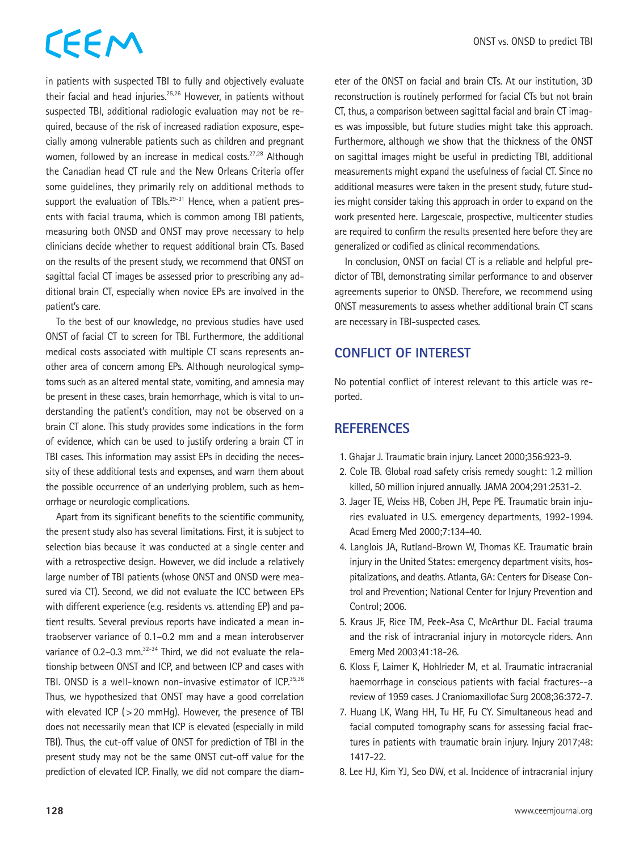in patients with suspected TBI to fully and objectively evaluate their facial and head injuries.<sup>25,26</sup> However, in patients without suspected TBI, additional radiologic evaluation may not be required, because of the risk of increased radiation exposure, especially among vulnerable patients such as children and pregnant women, followed by an increase in medical costs.<sup>27,28</sup> Although the Canadian head CT rule and the New Orleans Criteria offer some guidelines, they primarily rely on additional methods to support the evaluation of TBIs. $29-31$  Hence, when a patient presents with facial trauma, which is common among TBI patients, measuring both ONSD and ONST may prove necessary to help clinicians decide whether to request additional brain CTs. Based on the results of the present study, we recommend that ONST on sagittal facial CT images be assessed prior to prescribing any additional brain CT, especially when novice EPs are involved in the patient's care.

To the best of our knowledge, no previous studies have used ONST of facial CT to screen for TBI. Furthermore, the additional medical costs associated with multiple CT scans represents another area of concern among EPs. Although neurological symptoms such as an altered mental state, vomiting, and amnesia may be present in these cases, brain hemorrhage, which is vital to understanding the patient's condition, may not be observed on a brain CT alone. This study provides some indications in the form of evidence, which can be used to justify ordering a brain CT in TBI cases. This information may assist EPs in deciding the necessity of these additional tests and expenses, and warn them about the possible occurrence of an underlying problem, such as hemorrhage or neurologic complications.

Apart from its significant benefits to the scientific community, the present study also has several limitations. First, it is subject to selection bias because it was conducted at a single center and with a retrospective design. However, we did include a relatively large number of TBI patients (whose ONST and ONSD were measured via CT). Second, we did not evaluate the ICC between EPs with different experience (e.g. residents vs. attending EP) and patient results. Several previous reports have indicated a mean intraobserver variance of 0.1–0.2 mm and a mean interobserver variance of 0.2–0.3 mm.<sup>32-34</sup> Third, we did not evaluate the relationship between ONST and ICP, and between ICP and cases with TBI. ONSD is a well-known non-invasive estimator of ICP.<sup>35,36</sup> Thus, we hypothesized that ONST may have a good correlation with elevated ICP (>20 mmHg). However, the presence of TBI does not necessarily mean that ICP is elevated (especially in mild TBI). Thus, the cut-off value of ONST for prediction of TBI in the present study may not be the same ONST cut-off value for the prediction of elevated ICP. Finally, we did not compare the diameter of the ONST on facial and brain CTs. At our institution, 3D reconstruction is routinely performed for facial CTs but not brain CT, thus, a comparison between sagittal facial and brain CT images was impossible, but future studies might take this approach. Furthermore, although we show that the thickness of the ONST on sagittal images might be useful in predicting TBI, additional measurements might expand the usefulness of facial CT. Since no additional measures were taken in the present study, future studies might consider taking this approach in order to expand on the work presented here. Largescale, prospective, multicenter studies are required to confirm the results presented here before they are generalized or codified as clinical recommendations.

In conclusion, ONST on facial CT is a reliable and helpful predictor of TBI, demonstrating similar performance to and observer agreements superior to ONSD. Therefore, we recommend using ONST measurements to assess whether additional brain CT scans are necessary in TBI-suspected cases.

## **CONFLICT OF INTEREST**

No potential conflict of interest relevant to this article was reported.

### **REFERENCES**

- 1. Ghajar J. Traumatic brain injury. Lancet 2000;356:923-9.
- 2. Cole TB. Global road safety crisis remedy sought: 1.2 million killed, 50 million injured annually. JAMA 2004;291:2531-2.
- 3. Jager TE, Weiss HB, Coben JH, Pepe PE. Traumatic brain injuries evaluated in U.S. emergency departments, 1992-1994. Acad Emerg Med 2000;7:134-40.
- 4. Langlois JA, Rutland-Brown W, Thomas KE. Traumatic brain injury in the United States: emergency department visits, hospitalizations, and deaths. Atlanta, GA: Centers for Disease Control and Prevention; National Center for Injury Prevention and Control; 2006.
- 5. Kraus JF, Rice TM, Peek-Asa C, McArthur DL. Facial trauma and the risk of intracranial injury in motorcycle riders. Ann Emerg Med 2003;41:18-26.
- 6. Kloss F, Laimer K, Hohlrieder M, et al. Traumatic intracranial haemorrhage in conscious patients with facial fractures--a review of 1959 cases. J Craniomaxillofac Surg 2008;36:372-7.
- 7. Huang LK, Wang HH, Tu HF, Fu CY. Simultaneous head and facial computed tomography scans for assessing facial fractures in patients with traumatic brain injury. Injury 2017;48: 1417-22.
- 8. Lee HJ, Kim YJ, Seo DW, et al. Incidence of intracranial injury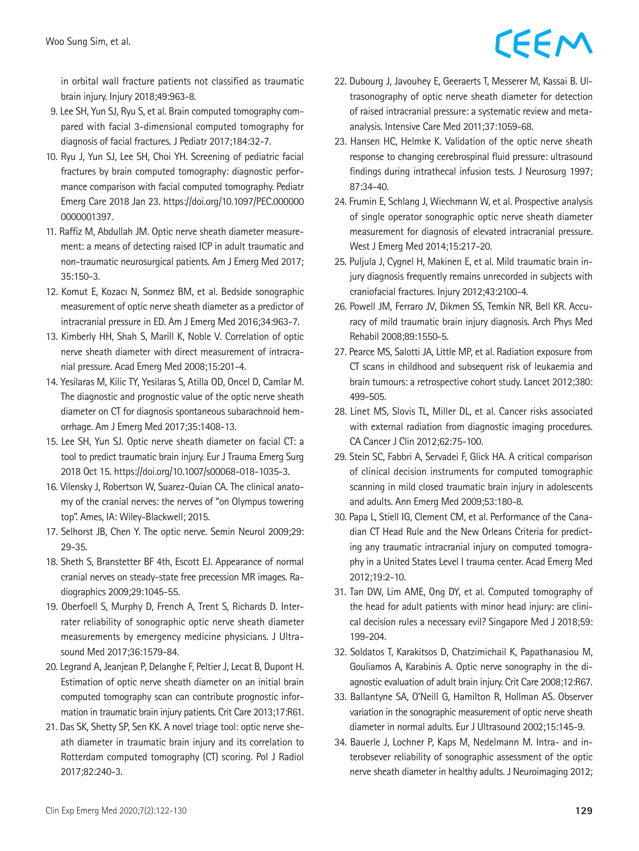in orbital wall fracture patients not classified as traumatic brain injury. Injury 2018;49:963-8.

- 9. Lee SH, Yun SJ, Ryu S, et al. Brain computed tomography compared with facial 3-dimensional computed tomography for diagnosis of facial fractures. J Pediatr 2017;184:32-7.
- 10. Ryu J, Yun SJ, Lee SH, Choi YH. Screening of pediatric facial fractures by brain computed tomography: diagnostic performance comparison with facial computed tomography. Pediatr Emerg Care 2018 Jan 23. [https://doi.org/10.1097/PEC.000000](https://doi.org/10.1097/PEC.0000000000001397) [0000001397.](https://doi.org/10.1097/PEC.0000000000001397)
- 11. Raffiz M, Abdullah JM. Optic nerve sheath diameter measurement: a means of detecting raised ICP in adult traumatic and non-traumatic neurosurgical patients. Am J Emerg Med 2017; 35:150-3.
- 12. Komut E, Kozacı N, Sonmez BM, et al. Bedside sonographic measurement of optic nerve sheath diameter as a predictor of intracranial pressure in ED. Am J Emerg Med 2016;34:963-7.
- 13. Kimberly HH, Shah S, Marill K, Noble V. Correlation of optic nerve sheath diameter with direct measurement of intracranial pressure. Acad Emerg Med 2008;15:201-4.
- 14. Yesilaras M, Kilic TY, Yesilaras S, Atilla OD, Oncel D, Camlar M. The diagnostic and prognostic value of the optic nerve sheath diameter on CT for diagnosis spontaneous subarachnoid hemorrhage. Am J Emerg Med 2017;35:1408-13.
- 15. Lee SH, Yun SJ. Optic nerve sheath diameter on facial CT: a tool to predict traumatic brain injury. Eur J Trauma Emerg Surg 2018 Oct 15. https://doi.org/10.1007/s00068-018-1035-3.
- 16. Vilensky J, Robertson W, Suarez-Quian CA. The clinical anatomy of the cranial nerves: the nerves of "on Olympus towering top". Ames, IA: Wiley-Blackwell; 2015.
- 17. Selhorst JB, Chen Y. The optic nerve. Semin Neurol 2009;29: 29-35.
- 18. Sheth S, Branstetter BF 4th, Escott EJ. Appearance of normal cranial nerves on steady-state free precession MR images. Radiographics 2009;29:1045-55.
- 19. Oberfoell S, Murphy D, French A, Trent S, Richards D. Interrater reliability of sonographic optic nerve sheath diameter measurements by emergency medicine physicians. J Ultrasound Med 2017;36:1579-84.
- 20. Legrand A, Jeanjean P, Delanghe F, Peltier J, Lecat B, Dupont H. Estimation of optic nerve sheath diameter on an initial brain computed tomography scan can contribute prognostic information in traumatic brain injury patients. Crit Care 2013;17:R61.
- 21. Das SK, Shetty SP, Sen KK. A novel triage tool: optic nerve sheath diameter in traumatic brain injury and its correlation to Rotterdam computed tomography (CT) scoring. Pol J Radiol 2017;82:240-3.
- 22. Dubourg J, Javouhey E, Geeraerts T, Messerer M, Kassai B. Ultrasonography of optic nerve sheath diameter for detection of raised intracranial pressure: a systematic review and metaanalysis. Intensive Care Med 2011;37:1059-68.
- 23. Hansen HC, Helmke K. Validation of the optic nerve sheath response to changing cerebrospinal fluid pressure: ultrasound findings during intrathecal infusion tests. J Neurosurg 1997; 87:34-40.
- 24. Frumin E, Schlang J, Wiechmann W, et al. Prospective analysis of single operator sonographic optic nerve sheath diameter measurement for diagnosis of elevated intracranial pressure. West J Emerg Med 2014;15:217-20.
- 25. Puljula J, Cygnel H, Makinen E, et al. Mild traumatic brain injury diagnosis frequently remains unrecorded in subjects with craniofacial fractures. Injury 2012;43:2100-4.
- 26. Powell JM, Ferraro JV, Dikmen SS, Temkin NR, Bell KR. Accuracy of mild traumatic brain injury diagnosis. Arch Phys Med Rehabil 2008;89:1550-5.
- 27. Pearce MS, Salotti JA, Little MP, et al. Radiation exposure from CT scans in childhood and subsequent risk of leukaemia and brain tumours: a retrospective cohort study. Lancet 2012;380: 499-505.
- 28. Linet MS, Slovis TL, Miller DL, et al. Cancer risks associated with external radiation from diagnostic imaging procedures. CA Cancer J Clin 2012;62:75-100.
- 29. Stein SC, Fabbri A, Servadei F, Glick HA. A critical comparison of clinical decision instruments for computed tomographic scanning in mild closed traumatic brain injury in adolescents and adults. Ann Emerg Med 2009;53:180-8.
- 30. Papa L, Stiell IG, Clement CM, et al. Performance of the Canadian CT Head Rule and the New Orleans Criteria for predicting any traumatic intracranial injury on computed tomography in a United States Level I trauma center. Acad Emerg Med 2012;19:2-10.
- 31. Tan DW, Lim AME, Ong DY, et al. Computed tomography of the head for adult patients with minor head injury: are clinical decision rules a necessary evil? Singapore Med J 2018;59: 199-204.
- 32. Soldatos T, Karakitsos D, Chatzimichail K, Papathanasiou M, Gouliamos A, Karabinis A. Optic nerve sonography in the diagnostic evaluation of adult brain injury. Crit Care 2008;12:R67.
- 33. Ballantyne SA, O'Neill G, Hamilton R, Hollman AS. Observer variation in the sonographic measurement of optic nerve sheath diameter in normal adults. Eur J Ultrasound 2002;15:145-9.
- 34. Bauerle J, Lochner P, Kaps M, Nedelmann M. Intra- and interobsever reliability of sonographic assessment of the optic nerve sheath diameter in healthy adults. J Neuroimaging 2012;